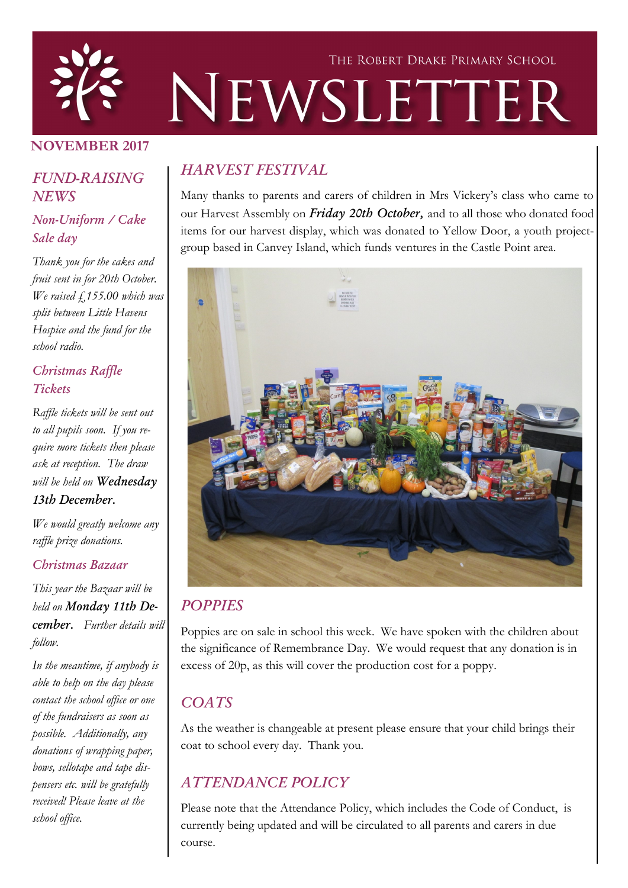

### NOVEMBER 2017

### *FUND-RAISING NEWS*

### *Non-Uniform / Cake Sale day*

*Thank you for the cakes and fruit sent in for 20th October. We raised £155.00 which was split between Little Havens Hospice and the fund for the school radio.*

### *Christmas Raffle Tickets*

*Raffle tickets will be sent out to all pupils soon. If you require more tickets then please ask at reception. The draw will be held on Wednesday 13th December.*

*We would greatly welcome any raffle prize donations.*

#### *Christmas Bazaar*

*This year the Bazaar will be held on Monday 11th December. Further details will follow.* 

*In the meantime, if anybody is able to help on the day please contact the school office or one of the fundraisers as soon as possible. Additionally, any donations of wrapping paper, bows, sellotape and tape dispensers etc. will be gratefully received! Please leave at the school office.* 

# *HARVEST FESTIVAL*

Many thanks to parents and carers of children in Mrs Vickery's class who came to our Harvest Assembly on *Friday 20th October,* and to all those who donated food items for our harvest display, which was donated to Yellow Door, a youth projectgroup based in Canvey Island, which funds ventures in the Castle Point area.



## *POPPIES*

Poppies are on sale in school this week. We have spoken with the children about the significance of Remembrance Day. We would request that any donation is in excess of 20p, as this will cover the production cost for a poppy.

# *COATS*

As the weather is changeable at present please ensure that your child brings their coat to school every day. Thank you.

# *ATTENDANCE POLICY*

Please note that the Attendance Policy, which includes the Code of Conduct, is currently being updated and will be circulated to all parents and carers in due course.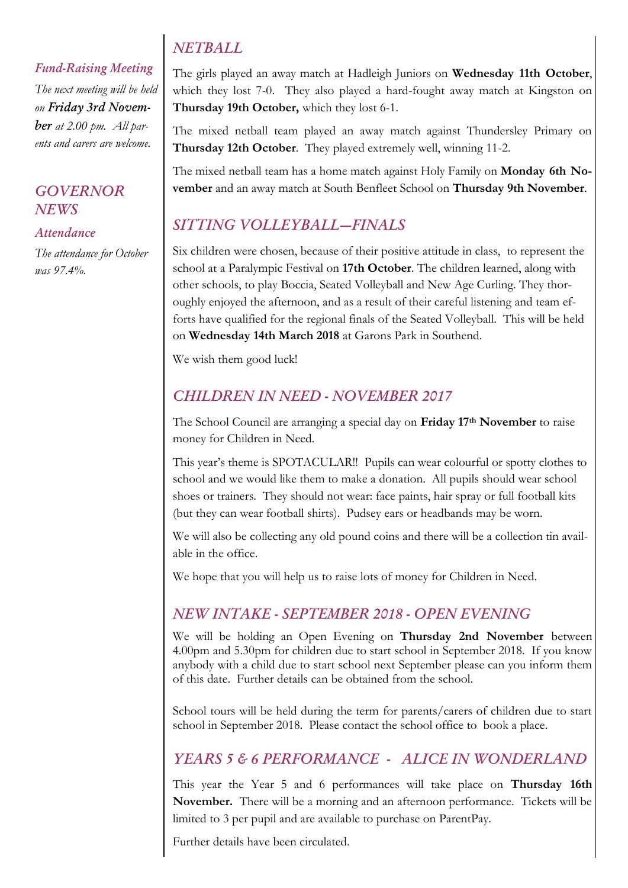# *NETBALL*

*Fund-Raising Meeting The next meeting will be held on Friday 3rd November at 2.00 pm. All parents and carers are welcome.*

### *GOVERNOR NEWS*

#### *Attendance*

*The attendance for October was 97.4%.* 

The girls played an away match at Hadleigh Juniors on Wednesday 11th October, which they lost 7-0. They also played a hard-fought away match at Kingston on Thursday 19th October, which they lost 6-1.

The mixed netball team played an away match against Thundersley Primary on Thursday 12th October. They played extremely well, winning 11-2.

The mixed netball team has a home match against Holy Family on **Monday 6th No**vember and an away match at South Benfleet School on Thursday 9th November.

# *SITTING VOLLEYBALL—FINALS*

Six children were chosen, because of their positive attitude in class, to represent the school at a Paralympic Festival on 17th October. The children learned, along with other schools, to play Boccia, Seated Volleyball and New Age Curling. They thoroughly enjoyed the afternoon, and as a result of their careful listening and team efforts have qualified for the regional finals of the Seated Volleyball. This will be held on Wednesday 14th March 2018 at Garons Park in Southend.

We wish them good luck!

# *CHILDREN IN NEED - NOVEMBER 2017*

The School Council are arranging a special day on Friday 17<sup>th</sup> November to raise money for Children in Need.

This year's theme is SPOTACULAR!! Pupils can wear colourful or spotty clothes to school and we would like them to make a donation. All pupils should wear school shoes or trainers. They should not wear: face paints, hair spray or full football kits (but they can wear football shirts). Pudsey ears or headbands may be worn.

We will also be collecting any old pound coins and there will be a collection tin available in the office.

We hope that you will help us to raise lots of money for Children in Need.

# *NEW INTAKE - SEPTEMBER 2018 - OPEN EVENING*

We will be holding an Open Evening on **Thursday 2nd November** between 4.00pm and 5.30pm for children due to start school in September 2018. If you know anybody with a child due to start school next September please can you inform them of this date. Further details can be obtained from the school.

School tours will be held during the term for parents/carers of children due to start school in September 2018. Please contact the school office to book a place.

# *YEARS 5 & 6 PERFORMANCE - ALICE IN WONDERLAND*

This year the Year 5 and 6 performances will take place on Thursday 16th November. There will be a morning and an afternoon performance. Tickets will be limited to 3 per pupil and are available to purchase on ParentPay.

Further details have been circulated.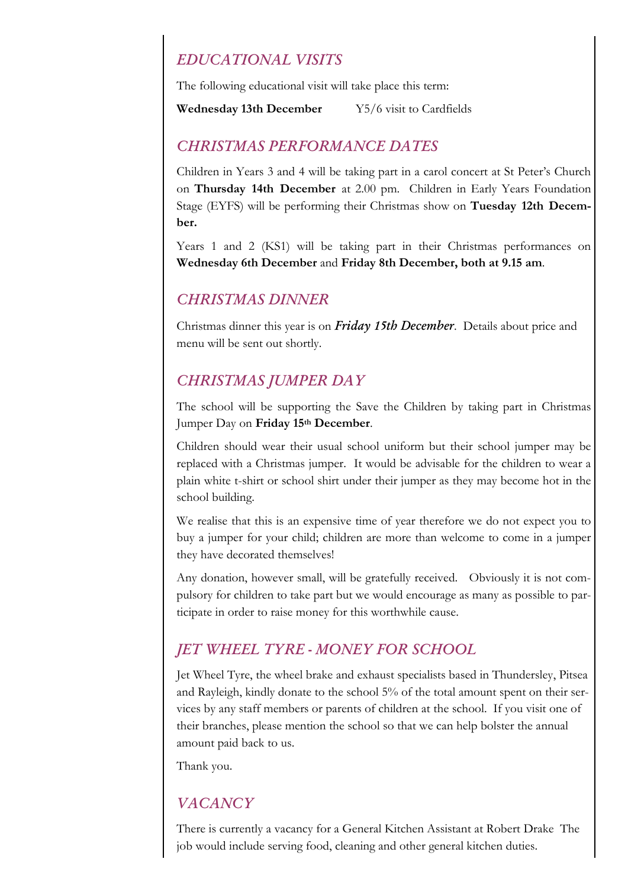## *EDUCATIONAL VISITS*

The following educational visit will take place this term:

#### Wednesday 13th December Y5/6 visit to Cardfields

#### *CHRISTMAS PERFORMANCE DATES*

Children in Years 3 and 4 will be taking part in a carol concert at St Peter's Church on Thursday 14th December at 2.00 pm. Children in Early Years Foundation Stage (EYFS) will be performing their Christmas show on Tuesday 12th December.

Years 1 and 2 (KS1) will be taking part in their Christmas performances on Wednesday 6th December and Friday 8th December, both at 9.15 am.

#### *CHRISTMAS DINNER*

Christmas dinner this year is on *Friday 15th December*. Details about price and menu will be sent out shortly.

### *CHRISTMAS JUMPER DAY*

The school will be supporting the Save the Children by taking part in Christmas Jumper Day on Friday 15th December.

Children should wear their usual school uniform but their school jumper may be replaced with a Christmas jumper. It would be advisable for the children to wear a plain white t-shirt or school shirt under their jumper as they may become hot in the school building.

We realise that this is an expensive time of year therefore we do not expect you to buy a jumper for your child; children are more than welcome to come in a jumper they have decorated themselves!

Any donation, however small, will be gratefully received. Obviously it is not compulsory for children to take part but we would encourage as many as possible to participate in order to raise money for this worthwhile cause.

## *JET WHEEL TYRE - MONEY FOR SCHOOL*

Jet Wheel Tyre, the wheel brake and exhaust specialists based in Thundersley, Pitsea and Rayleigh, kindly donate to the school 5% of the total amount spent on their services by any staff members or parents of children at the school. If you visit one of their branches, please mention the school so that we can help bolster the annual amount paid back to us.

Thank you.

# *VACANCY*

There is currently a vacancy for a General Kitchen Assistant at Robert Drake The job would include serving food, cleaning and other general kitchen duties.